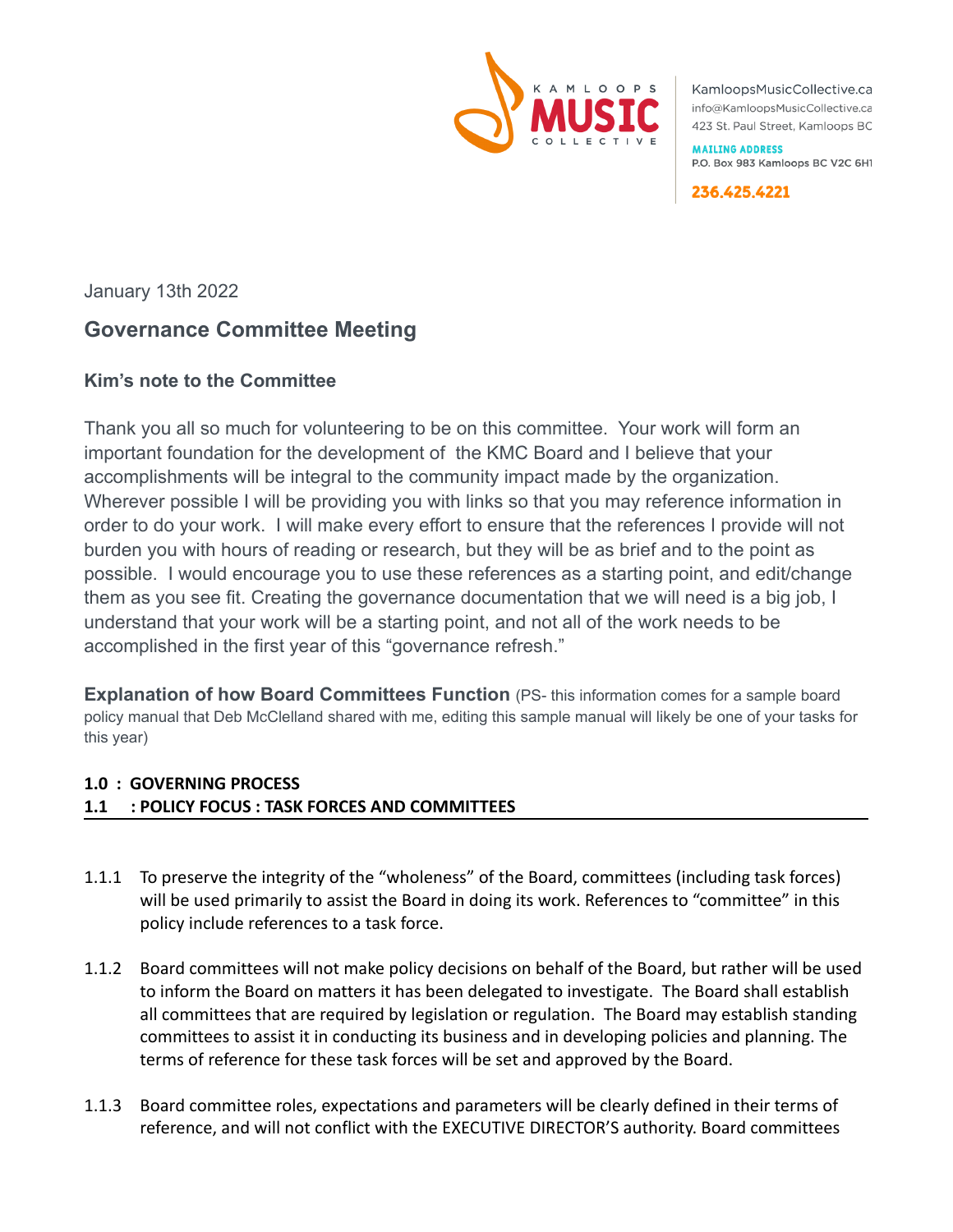

KamloopsMusicCollective.ca info@KamloopsMusicCollective.ca 423 St. Paul Street, Kamloops BC

**MAILING ADDRESS** P.O. Box 983 Kamloops BC V2C 6H1

236.425.4221

January 13th 2022

# **Governance Committee Meeting**

## **Kim's note to the Committee**

Thank you all so much for volunteering to be on this committee. Your work will form an important foundation for the development of the KMC Board and I believe that your accomplishments will be integral to the community impact made by the organization. Wherever possible I will be providing you with links so that you may reference information in order to do your work. I will make every effort to ensure that the references I provide will not burden you with hours of reading or research, but they will be as brief and to the point as possible. I would encourage you to use these references as a starting point, and edit/change them as you see fit. Creating the governance documentation that we will need is a big job, I understand that your work will be a starting point, and not all of the work needs to be accomplished in the first year of this "governance refresh."

**Explanation of how Board Committees Function** (PS- this information comes for a sample board policy manual that Deb McClelland shared with me, editing this sample manual will likely be one of your tasks for this year)

### **1.0 : GOVERNING PROCESS**

### **1.1 : POLICY FOCUS : TASK FORCES AND COMMITTEES**

- 1.1.1 To preserve the integrity of the "wholeness" of the Board, committees (including task forces) will be used primarily to assist the Board in doing its work. References to "committee" in this policy include references to a task force.
- 1.1.2 Board committees will not make policy decisions on behalf of the Board, but rather will be used to inform the Board on matters it has been delegated to investigate. The Board shall establish all committees that are required by legislation or regulation. The Board may establish standing committees to assist it in conducting its business and in developing policies and planning. The terms of reference for these task forces will be set and approved by the Board.
- 1.1.3 Board committee roles, expectations and parameters will be clearly defined in their terms of reference, and will not conflict with the EXECUTIVE DIRECTOR'S authority. Board committees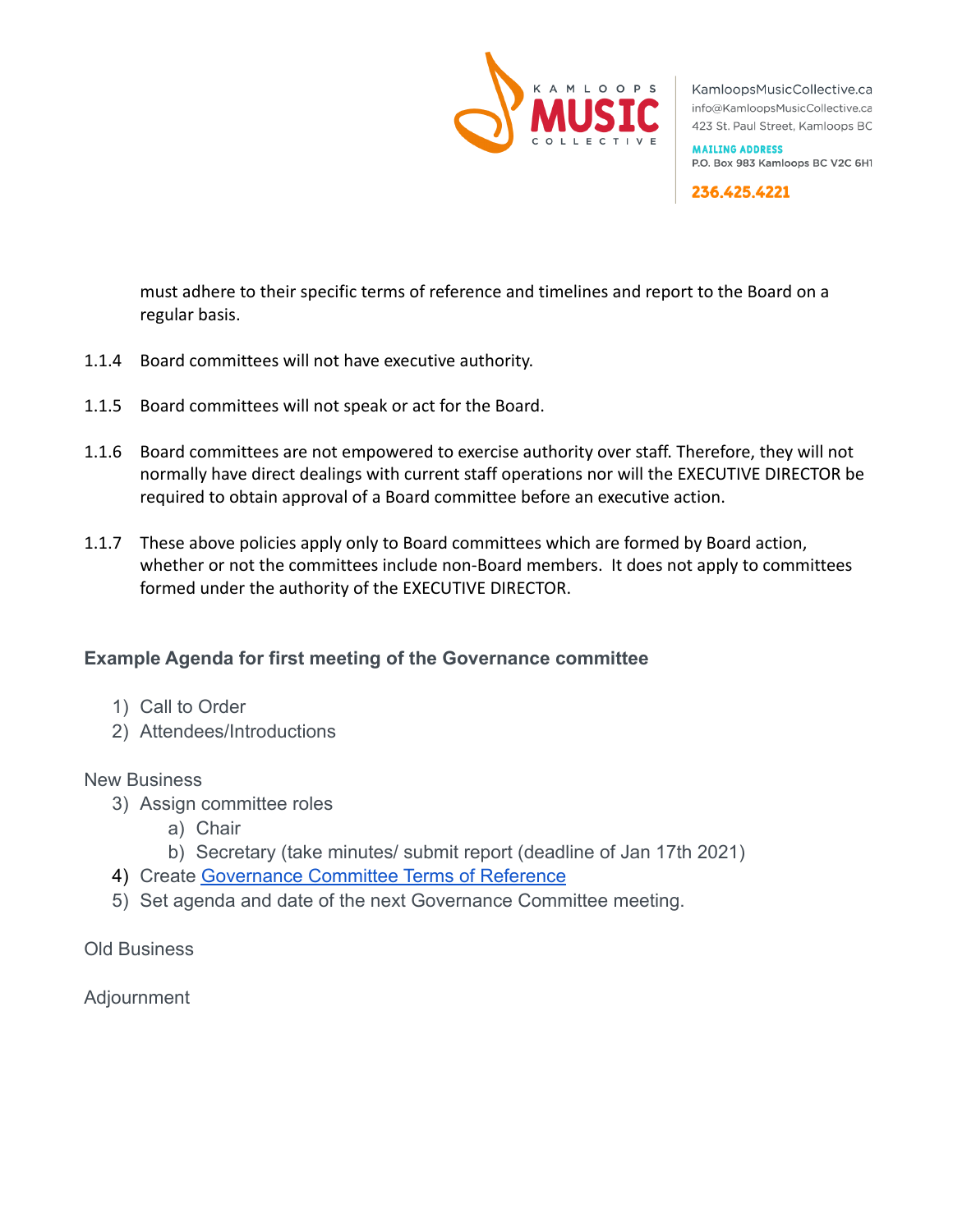

KamloopsMusicCollective.ca info@KamloopsMusicCollective.ca 423 St. Paul Street, Kamloops BC

**MAILING ADDRESS** P.O. Box 983 Kamloops BC V2C 6H1

236.425.4221

must adhere to their specific terms of reference and timelines and report to the Board on a regular basis.

- 1.1.4 Board committees will not have executive authority.
- 1.1.5 Board committees will not speak or act for the Board.
- 1.1.6 Board committees are not empowered to exercise authority over staff. Therefore, they will not normally have direct dealings with current staff operations nor will the EXECUTIVE DIRECTOR be required to obtain approval of a Board committee before an executive action.
- 1.1.7 These above policies apply only to Board committees which are formed by Board action, whether or not the committees include non-Board members. It does not apply to committees formed under the authority of the EXECUTIVE DIRECTOR.

## **Example Agenda for first meeting of the Governance committee**

- 1) Call to Order
- 2) Attendees/Introductions

#### New Business

- 3) Assign committee roles
	- a) Chair
	- b) Secretary (take minutes/ submit report (deadline of Jan 17th 2021)
- 4) Create [Governance Committee Terms of Reference](https://docs.google.com/document/d/1hCDUkJ9W2yzGWvwKIa8Y8TpxtZFzfoYo/edit?usp=sharing&ouid=104807328183645992806&rtpof=true&sd=true)
- 5) Set agenda and date of the next Governance Committee meeting.

Old Business

Adjournment